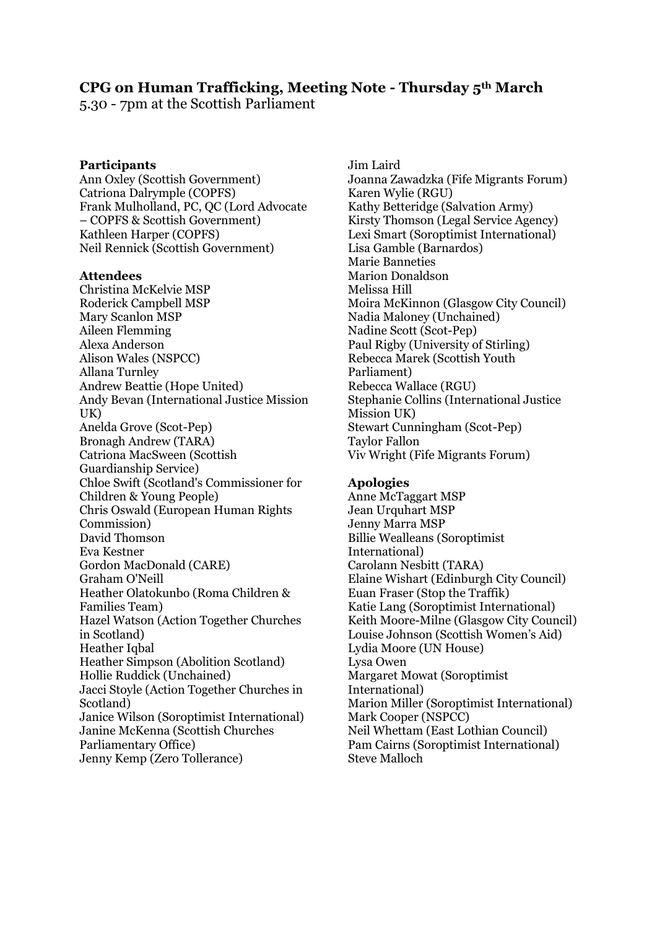# **CPG on Human Trafficking, Meeting Note - Thursday 5th March**

5.30 - 7pm at the Scottish Parliament

#### **Participants**

Ann Oxley (Scottish Government) Catriona Dalrymple (COPFS) Frank Mulholland, PC, QC (Lord Advocate – COPFS & Scottish Government) Kathleen Harper (COPFS) Neil Rennick (Scottish Government)

#### **Attendees**

Christina McKelvie MSP Roderick Campbell MSP Mary Scanlon MSP Aileen Flemming Alexa Anderson Alison Wales (NSPCC) Allana Turnley Andrew Beattie (Hope United) Andy Bevan (International Justice Mission UK) Anelda Grove (Scot-Pep) Bronagh Andrew (TARA) Catriona MacSween (Scottish Guardianship Service) Chloe Swift (Scotland's Commissioner for Children & Young People) Chris Oswald (European Human Rights Commission) David Thomson Eva Kestner Gordon MacDonald (CARE) Graham O'Neill Heather Olatokunbo (Roma Children & Families Team) Hazel Watson (Action Together Churches in Scotland) Heather Iqbal Heather Simpson (Abolition Scotland) Hollie Ruddick (Unchained) Jacci Stoyle (Action Together Churches in Scotland) Janice Wilson (Soroptimist International) Janine McKenna (Scottish Churches Parliamentary Office) Jenny Kemp (Zero Tollerance)

Jim Laird Joanna Zawadzka (Fife Migrants Forum) Karen Wylie (RGU) Kathy Betteridge (Salvation Army) Kirsty Thomson (Legal Service Agency) Lexi Smart (Soroptimist International) Lisa Gamble (Barnardos) Marie Banneties Marion Donaldson Melissa Hill Moira McKinnon (Glasgow City Council) Nadia Maloney (Unchained) Nadine Scott (Scot-Pep) Paul Rigby (University of Stirling) Rebecca Marek (Scottish Youth Parliament) Rebecca Wallace (RGU) Stephanie Collins (International Justice Mission UK) Stewart Cunningham (Scot-Pep) Taylor Fallon Viv Wright (Fife Migrants Forum)

#### **Apologies**

Anne McTaggart MSP Jean Urquhart MSP Jenny Marra MSP Billie Wealleans (Soroptimist International) Carolann Nesbitt (TARA) Elaine Wishart (Edinburgh City Council) Euan Fraser (Stop the Traffik) Katie Lang (Soroptimist International) Keith Moore-Milne (Glasgow City Council) Louise Johnson (Scottish Women's Aid) Lydia Moore (UN House) Lysa Owen Margaret Mowat (Soroptimist International) Marion Miller (Soroptimist International) Mark Cooper (NSPCC) Neil Whettam (East Lothian Council) Pam Cairns (Soroptimist International) Steve Malloch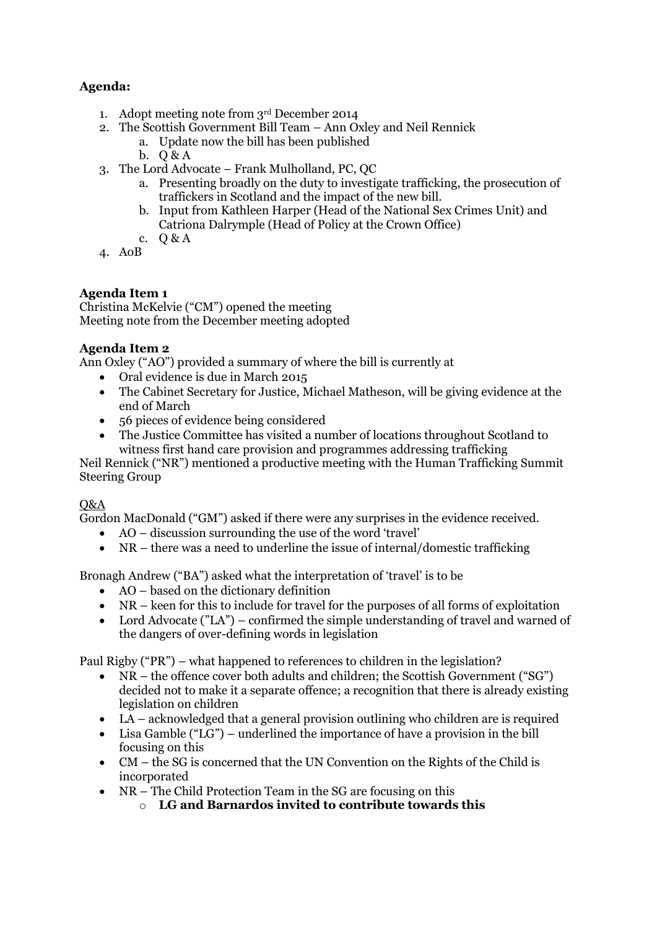## **Agenda:**

- 1. Adopt meeting note from 3rd December 2014
- 2. The Scottish Government Bill Team Ann Oxley and Neil Rennick
	- a. Update now the bill has been published
	- b.  $Q\& A$
- 3. The Lord Advocate Frank Mulholland, PC, QC
	- a. Presenting broadly on the duty to investigate trafficking, the prosecution of traffickers in Scotland and the impact of the new bill.
	- b. Input from Kathleen Harper (Head of the National Sex Crimes Unit) and Catriona Dalrymple (Head of Policy at the Crown Office)
	- c. Q & A
- 4. AoB

## **Agenda Item 1**

Christina McKelvie ("CM") opened the meeting Meeting note from the December meeting adopted

#### **Agenda Item 2**

Ann Oxley ("AO") provided a summary of where the bill is currently at

- Oral evidence is due in March 2015
- The Cabinet Secretary for Justice, Michael Matheson, will be giving evidence at the end of March
- 56 pieces of evidence being considered
- The Justice Committee has visited a number of locations throughout Scotland to witness first hand care provision and programmes addressing trafficking

Neil Rennick ("NR") mentioned a productive meeting with the Human Trafficking Summit Steering Group

## Q&A

Gordon MacDonald ("GM") asked if there were any surprises in the evidence received.

- AO discussion surrounding the use of the word 'travel'
- NR there was a need to underline the issue of internal/domestic trafficking

Bronagh Andrew ("BA") asked what the interpretation of 'travel' is to be

- AO based on the dictionary definition
- NR keen for this to include for travel for the purposes of all forms of exploitation
- Lord Advocate ("LA") confirmed the simple understanding of travel and warned of the dangers of over-defining words in legislation

Paul Rigby ("PR") – what happened to references to children in the legislation?

- NR the offence cover both adults and children; the Scottish Government ("SG") decided not to make it a separate offence; a recognition that there is already existing legislation on children
- LA acknowledged that a general provision outlining who children are is required
- Lisa Gamble ("LG") underlined the importance of have a provision in the bill focusing on this
- CM the SG is concerned that the UN Convention on the Rights of the Child is incorporated
- NR The Child Protection Team in the SG are focusing on this
	- o **LG and Barnardos invited to contribute towards this**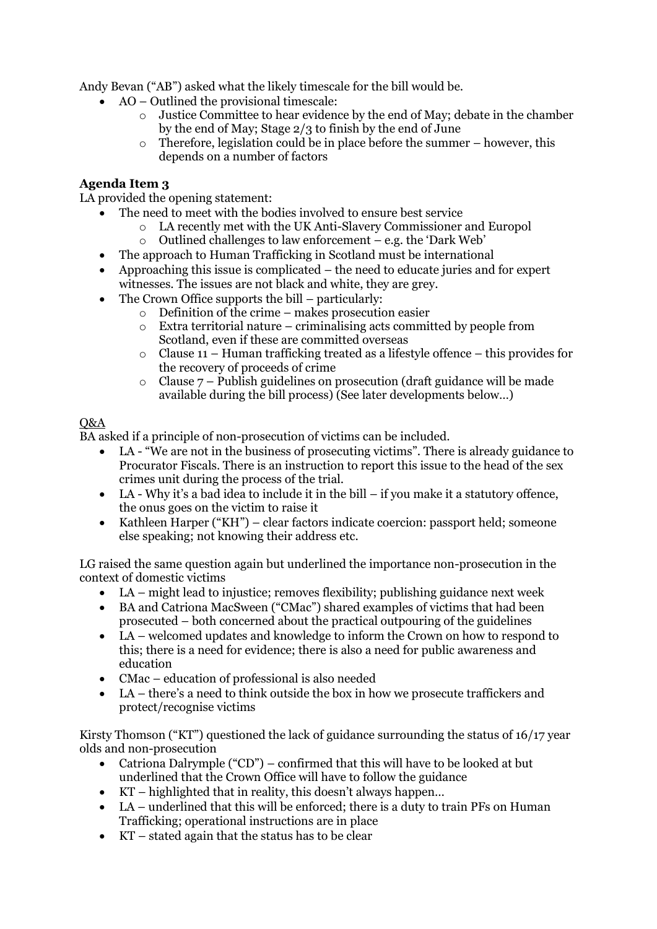Andy Bevan ("AB") asked what the likely timescale for the bill would be.

- AO Outlined the provisional timescale:
	- $\circ$  Justice Committee to hear evidence by the end of May; debate in the chamber by the end of May; Stage 2/3 to finish by the end of June
	- o Therefore, legislation could be in place before the summer however, this depends on a number of factors

## **Agenda Item 3**

LA provided the opening statement:

- The need to meet with the bodies involved to ensure best service
	- o LA recently met with the UK Anti-Slavery Commissioner and Europol
	- $\circ$  Outlined challenges to law enforcement e.g. the 'Dark Web'
- The approach to Human Trafficking in Scotland must be international
- Approaching this issue is complicated the need to educate juries and for expert witnesses. The issues are not black and white, they are grey.
- The Crown Office supports the bill particularly:
	- $\circ$  Definition of the crime makes prosecution easier
	- o Extra territorial nature criminalising acts committed by people from Scotland, even if these are committed overseas
	- $\circ$  Clause 11 Human trafficking treated as a lifestyle offence this provides for the recovery of proceeds of crime
	- $\circ$  Clause  $7$  Publish guidelines on prosecution (draft guidance will be made available during the bill process) (See later developments below…)

#### Q&A

BA asked if a principle of non-prosecution of victims can be included.

- LA "We are not in the business of prosecuting victims". There is already guidance to Procurator Fiscals. There is an instruction to report this issue to the head of the sex crimes unit during the process of the trial.
- LA Why it's a bad idea to include it in the bill if you make it a statutory offence, the onus goes on the victim to raise it
- Kathleen Harper ("KH") clear factors indicate coercion: passport held; someone else speaking; not knowing their address etc.

LG raised the same question again but underlined the importance non-prosecution in the context of domestic victims

- LA might lead to injustice; removes flexibility; publishing guidance next week
- BA and Catriona MacSween ("CMac") shared examples of victims that had been prosecuted – both concerned about the practical outpouring of the guidelines
- LA welcomed updates and knowledge to inform the Crown on how to respond to this; there is a need for evidence; there is also a need for public awareness and education
- CMac education of professional is also needed
- LA there's a need to think outside the box in how we prosecute traffickers and protect/recognise victims

Kirsty Thomson ("KT") questioned the lack of guidance surrounding the status of 16/17 year olds and non-prosecution

- Catriona Dalrymple ("CD") confirmed that this will have to be looked at but underlined that the Crown Office will have to follow the guidance
- KT highlighted that in reality, this doesn't always happen…
- LA underlined that this will be enforced; there is a duty to train PFs on Human Trafficking; operational instructions are in place
- $\bullet$  KT stated again that the status has to be clear